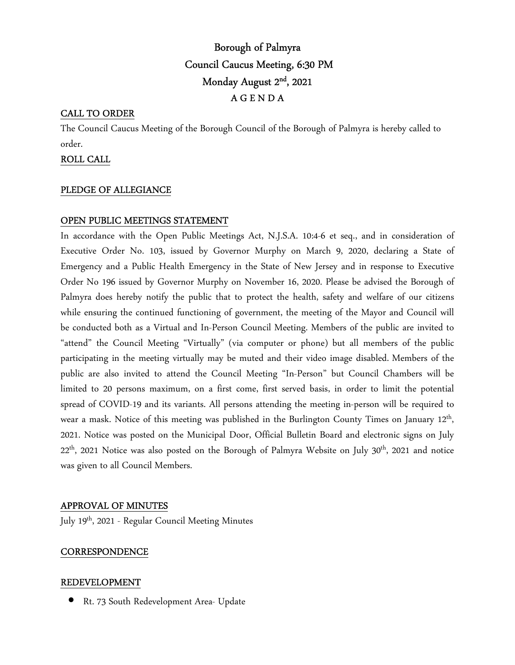# Borough of Palmyra Council Caucus Meeting, 6:30 PM Monday August 2nd, 2021 A G E N D A

## CALL TO ORDER

The Council Caucus Meeting of the Borough Council of the Borough of Palmyra is hereby called to order.

### ROLL CALL

### PLEDGE OF ALLEGIANCE

### OPEN PUBLIC MEETINGS STATEMENT

In accordance with the Open Public Meetings Act, N.J.S.A. 10:4-6 et seq., and in consideration of Executive Order No. 103, issued by Governor Murphy on March 9, 2020, declaring a State of Emergency and a Public Health Emergency in the State of New Jersey and in response to Executive Order No 196 issued by Governor Murphy on November 16, 2020. Please be advised the Borough of Palmyra does hereby notify the public that to protect the health, safety and welfare of our citizens while ensuring the continued functioning of government, the meeting of the Mayor and Council will be conducted both as a Virtual and In-Person Council Meeting. Members of the public are invited to "attend" the Council Meeting "Virtually" (via computer or phone) but all members of the public participating in the meeting virtually may be muted and their video image disabled. Members of the public are also invited to attend the Council Meeting "In-Person" but Council Chambers will be limited to 20 persons maximum, on a first come, first served basis, in order to limit the potential spread of COVID-19 and its variants. All persons attending the meeting in-person will be required to wear a mask. Notice of this meeting was published in the Burlington County Times on January 12<sup>th</sup>, 2021. Notice was posted on the Municipal Door, Official Bulletin Board and electronic signs on July 22<sup>th</sup>, 2021 Notice was also posted on the Borough of Palmyra Website on July 30<sup>th</sup>, 2021 and notice was given to all Council Members.

### APPROVAL OF MINUTES

July 19<sup>th</sup>, 2021 - Regular Council Meeting Minutes

#### **CORRESPONDENCE**

#### REDEVELOPMENT

• Rt. 73 South Redevelopment Area- Update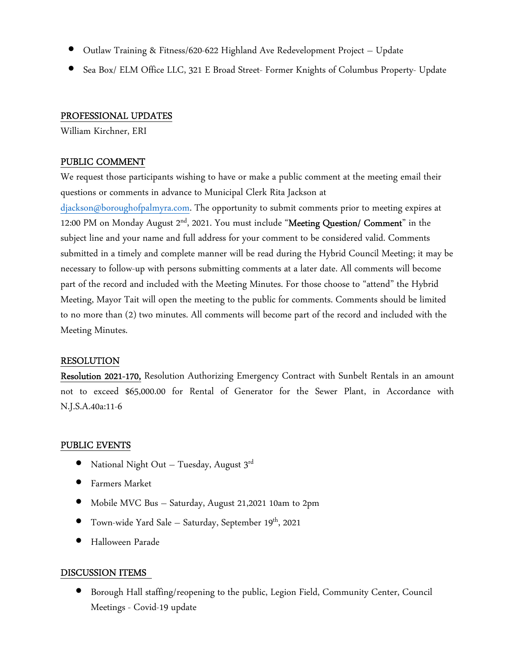- Outlaw Training & Fitness/620-622 Highland Ave Redevelopment Project Update
- Sea Box/ ELM Office LLC, 321 E Broad Street- Former Knights of Columbus Property- Update

# PROFESSIONAL UPDATES

William Kirchner, ERI

# PUBLIC COMMENT

We request those participants wishing to have or make a public comment at the meeting email their questions or comments in advance to Municipal Clerk Rita Jackson at

djackson@boroughofpalmyra.com. The opportunity to submit comments prior to meeting expires at 12:00 PM on Monday August 2<sup>nd</sup>, 2021. You must include "Meeting Question/ Comment" in the subject line and your name and full address for your comment to be considered valid. Comments submitted in a timely and complete manner will be read during the Hybrid Council Meeting; it may be necessary to follow-up with persons submitting comments at a later date. All comments will become part of the record and included with the Meeting Minutes. For those choose to "attend" the Hybrid Meeting, Mayor Tait will open the meeting to the public for comments. Comments should be limited to no more than (2) two minutes. All comments will become part of the record and included with the Meeting Minutes.

# RESOLUTION

Resolution 2021-170, Resolution Authorizing Emergency Contract with Sunbelt Rentals in an amount not to exceed \$65,000.00 for Rental of Generator for the Sewer Plant, in Accordance with N.J.S.A.40a:11-6

# PUBLIC EVENTS

- National Night Out Tuesday, August  $3^{rd}$
- Farmers Market
- Mobile MVC Bus Saturday, August 21,2021 10am to 2pm
- Town-wide Yard Sale Saturday, September 19th, 2021
- Halloween Parade

# DISCUSSION ITEMS

• Borough Hall staffing/reopening to the public, Legion Field, Community Center, Council Meetings - Covid-19 update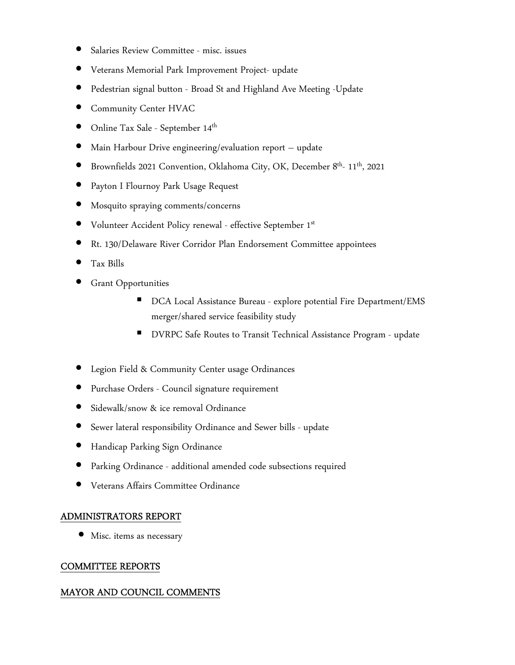- Salaries Review Committee misc. issues
- Veterans Memorial Park Improvement Project- update
- Pedestrian signal button Broad St and Highland Ave Meeting -Update
- Community Center HVAC
- $\bullet$  Online Tax Sale September  $14^{\text{th}}$
- Main Harbour Drive engineering/evaluation report update
- Brownfields 2021 Convention, Oklahoma City, OK, December 8th- 11th, 2021
- Payton I Flournoy Park Usage Request
- Mosquito spraying comments/concerns
- Volunteer Accident Policy renewal effective September 1st
- Rt. 130/Delaware River Corridor Plan Endorsement Committee appointees
- Tax Bills
- **Grant Opportunities** 
	- DCA Local Assistance Bureau explore potential Fire Department/EMS merger/shared service feasibility study
	- DVRPC Safe Routes to Transit Technical Assistance Program update
- Legion Field & Community Center usage Ordinances
- Purchase Orders Council signature requirement
- Sidewalk/snow & ice removal Ordinance
- Sewer lateral responsibility Ordinance and Sewer bills update
- Handicap Parking Sign Ordinance
- Parking Ordinance additional amended code subsections required
- Veterans Affairs Committee Ordinance

# ADMINISTRATORS REPORT

• Misc. items as necessary

### COMMITTEE REPORTS

### MAYOR AND COUNCIL COMMENTS